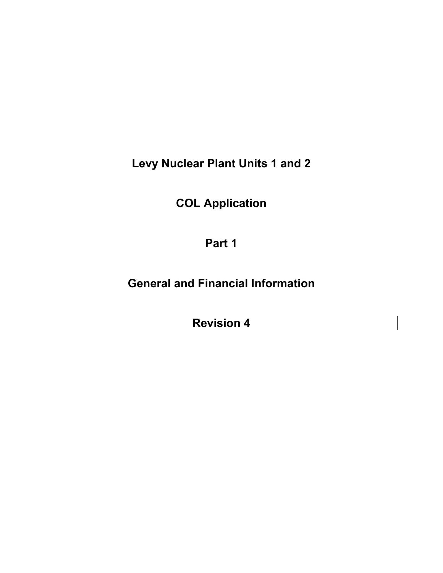**Levy Nuclear Plant Units 1 and 2** 

**COL Application** 

**Part 1** 

**General and Financial Information** 

**Revision 4**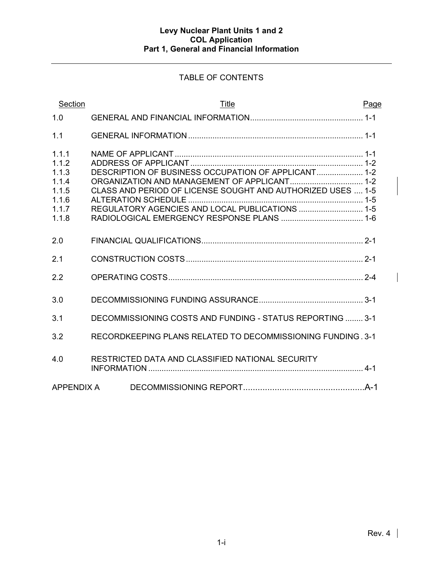# TABLE OF CONTENTS

| Section                                                              | <b>Title</b>                                                                                                                                                          | Page |
|----------------------------------------------------------------------|-----------------------------------------------------------------------------------------------------------------------------------------------------------------------|------|
| 1.0                                                                  |                                                                                                                                                                       |      |
| 1.1                                                                  |                                                                                                                                                                       |      |
| 1.1.1<br>1.1.2<br>1.1.3<br>1.1.4<br>1.1.5<br>1.1.6<br>1.1.7<br>1.1.8 | DESCRIPTION OF BUSINESS OCCUPATION OF APPLICANT 1-2<br>CLASS AND PERIOD OF LICENSE SOUGHT AND AUTHORIZED USES  1-5<br>REGULATORY AGENCIES AND LOCAL PUBLICATIONS  1-5 |      |
| 2.0                                                                  |                                                                                                                                                                       |      |
| 2.1                                                                  |                                                                                                                                                                       |      |
| 2.2                                                                  |                                                                                                                                                                       |      |
| 3.0                                                                  |                                                                                                                                                                       |      |
| 3.1                                                                  | DECOMMISSIONING COSTS AND FUNDING - STATUS REPORTING  3-1                                                                                                             |      |
| 3.2                                                                  | RECORDKEEPING PLANS RELATED TO DECOMMISSIONING FUNDING . 3-1                                                                                                          |      |
| 4.0                                                                  | RESTRICTED DATA AND CLASSIFIED NATIONAL SECURITY                                                                                                                      |      |
| <b>APPENDIX A</b>                                                    |                                                                                                                                                                       |      |

 $\overline{\phantom{a}}$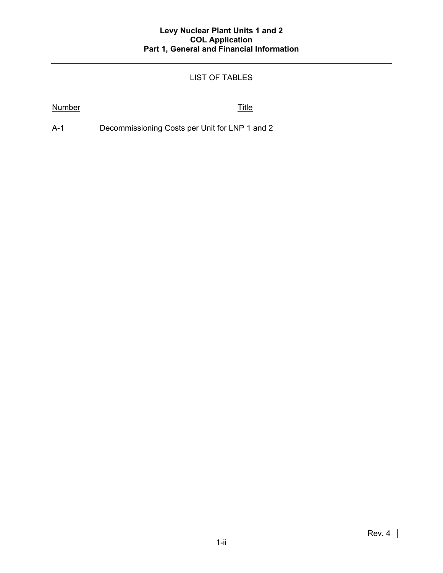# LIST OF TABLES

### Number Title

A-1 Decommissioning Costs per Unit for LNP 1 and 2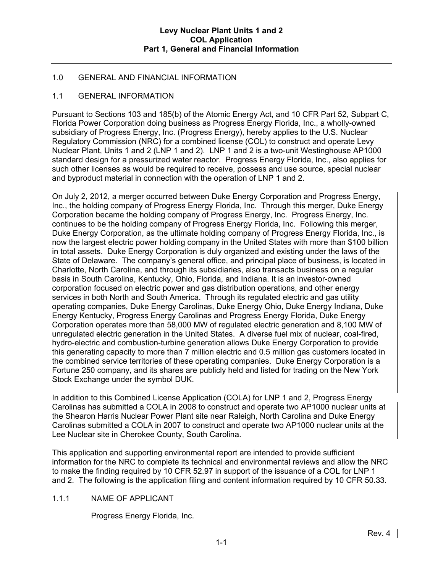### 1.0 GENERAL AND FINANCIAL INFORMATION

#### 1.1 GENERAL INFORMATION

Pursuant to Sections 103 and 185(b) of the Atomic Energy Act, and 10 CFR Part 52, Subpart C, Florida Power Corporation doing business as Progress Energy Florida, Inc., a wholly-owned subsidiary of Progress Energy, Inc. (Progress Energy), hereby applies to the U.S. Nuclear Regulatory Commission (NRC) for a combined license (COL) to construct and operate Levy Nuclear Plant, Units 1 and 2 (LNP 1 and 2). LNP 1 and 2 is a two-unit Westinghouse AP1000 standard design for a pressurized water reactor. Progress Energy Florida, Inc., also applies for such other licenses as would be required to receive, possess and use source, special nuclear and byproduct material in connection with the operation of LNP 1 and 2.

On July 2, 2012, a merger occurred between Duke Energy Corporation and Progress Energy, Inc., the holding company of Progress Energy Florida, Inc. Through this merger, Duke Energy Corporation became the holding company of Progress Energy, Inc. Progress Energy, Inc. continues to be the holding company of Progress Energy Florida, Inc. Following this merger, Duke Energy Corporation, as the ultimate holding company of Progress Energy Florida, Inc., is now the largest electric power holding company in the United States with more than \$100 billion in total assets. Duke Energy Corporation is duly organized and existing under the laws of the State of Delaware. The company's general office, and principal place of business, is located in Charlotte, North Carolina, and through its subsidiaries, also transacts business on a regular basis in South Carolina, Kentucky, Ohio, Florida, and Indiana. It is an investor-owned corporation focused on electric power and gas distribution operations, and other energy services in both North and South America. Through its regulated electric and gas utility operating companies, Duke Energy Carolinas, Duke Energy Ohio, Duke Energy Indiana, Duke Energy Kentucky, Progress Energy Carolinas and Progress Energy Florida, Duke Energy Corporation operates more than 58,000 MW of regulated electric generation and 8,100 MW of unregulated electric generation in the United States. A diverse fuel mix of nuclear, coal-fired, hydro-electric and combustion-turbine generation allows Duke Energy Corporation to provide this generating capacity to more than 7 million electric and 0.5 million gas customers located in the combined service territories of these operating companies. Duke Energy Corporation is a Fortune 250 company, and its shares are publicly held and listed for trading on the New York Stock Exchange under the symbol DUK.

In addition to this Combined License Application (COLA) for LNP 1 and 2, Progress Energy Carolinas has submitted a COLA in 2008 to construct and operate two AP1000 nuclear units at the Shearon Harris Nuclear Power Plant site near Raleigh, North Carolina and Duke Energy Carolinas submitted a COLA in 2007 to construct and operate two AP1000 nuclear units at the Lee Nuclear site in Cherokee County, South Carolina.

This application and supporting environmental report are intended to provide sufficient information for the NRC to complete its technical and environmental reviews and allow the NRC to make the finding required by 10 CFR 52.97 in support of the issuance of a COL for LNP 1 and 2. The following is the application filing and content information required by 10 CFR 50.33.

#### 1.1.1 NAME OF APPLICANT

Progress Energy Florida, Inc.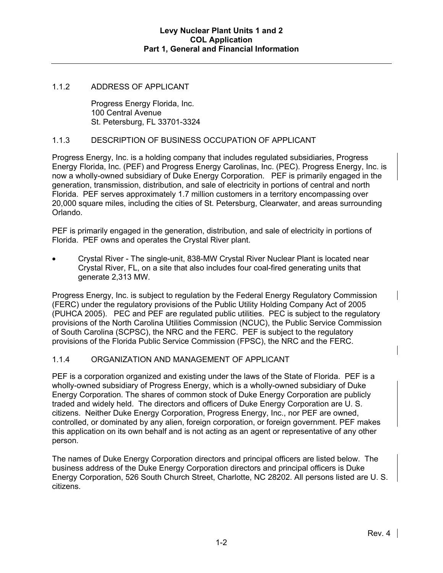#### 1.1.2 ADDRESS OF APPLICANT

Progress Energy Florida, Inc. 100 Central Avenue St. Petersburg, FL 33701-3324

### 1.1.3 DESCRIPTION OF BUSINESS OCCUPATION OF APPLICANT

Progress Energy, Inc. is a holding company that includes regulated subsidiaries, Progress Energy Florida, Inc. (PEF) and Progress Energy Carolinas, Inc. (PEC). Progress Energy, Inc. is now a wholly-owned subsidiary of Duke Energy Corporation. PEF is primarily engaged in the generation, transmission, distribution, and sale of electricity in portions of central and north Florida. PEF serves approximately 1.7 million customers in a territory encompassing over 20,000 square miles, including the cities of St. Petersburg, Clearwater, and areas surrounding Orlando.

PEF is primarily engaged in the generation, distribution, and sale of electricity in portions of Florida. PEF owns and operates the Crystal River plant.

• Crystal River - The single-unit, 838-MW Crystal River Nuclear Plant is located near Crystal River, FL, on a site that also includes four coal-fired generating units that generate 2,313 MW.

Progress Energy, Inc. is subject to regulation by the Federal Energy Regulatory Commission (FERC) under the regulatory provisions of the Public Utility Holding Company Act of 2005 (PUHCA 2005). PEC and PEF are regulated public utilities. PEC is subject to the regulatory provisions of the North Carolina Utilities Commission (NCUC), the Public Service Commission of South Carolina (SCPSC), the NRC and the FERC. PEF is subject to the regulatory provisions of the Florida Public Service Commission (FPSC), the NRC and the FERC.

#### 1.1.4 ORGANIZATION AND MANAGEMENT OF APPLICANT

PEF is a corporation organized and existing under the laws of the State of Florida. PEF is a wholly-owned subsidiary of Progress Energy, which is a wholly-owned subsidiary of Duke Energy Corporation. The shares of common stock of Duke Energy Corporation are publicly traded and widely held. The directors and officers of Duke Energy Corporation are U. S. citizens. Neither Duke Energy Corporation, Progress Energy, Inc., nor PEF are owned, controlled, or dominated by any alien, foreign corporation, or foreign government. PEF makes this application on its own behalf and is not acting as an agent or representative of any other person.

The names of Duke Energy Corporation directors and principal officers are listed below. The business address of the Duke Energy Corporation directors and principal officers is Duke Energy Corporation, 526 South Church Street, Charlotte, NC 28202. All persons listed are U. S. citizens.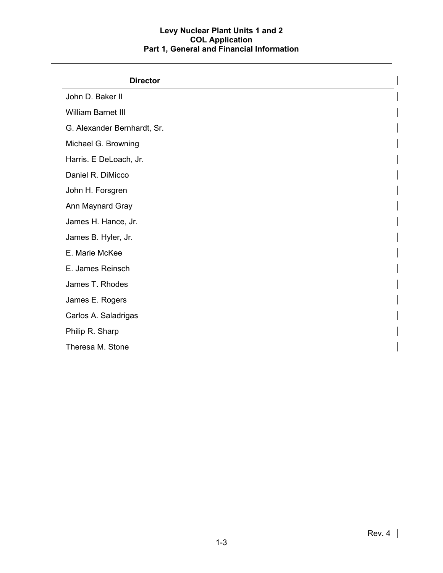| <b>Director</b>             |  |
|-----------------------------|--|
| John D. Baker II            |  |
| William Barnet III          |  |
| G. Alexander Bernhardt, Sr. |  |
| Michael G. Browning         |  |
| Harris. E DeLoach, Jr.      |  |
| Daniel R. DiMicco           |  |
| John H. Forsgren            |  |
| Ann Maynard Gray            |  |
| James H. Hance, Jr.         |  |
| James B. Hyler, Jr.         |  |
| E. Marie McKee              |  |
| E. James Reinsch            |  |
| James T. Rhodes             |  |
| James E. Rogers             |  |
| Carlos A. Saladrigas        |  |
| Philip R. Sharp             |  |
| Theresa M. Stone            |  |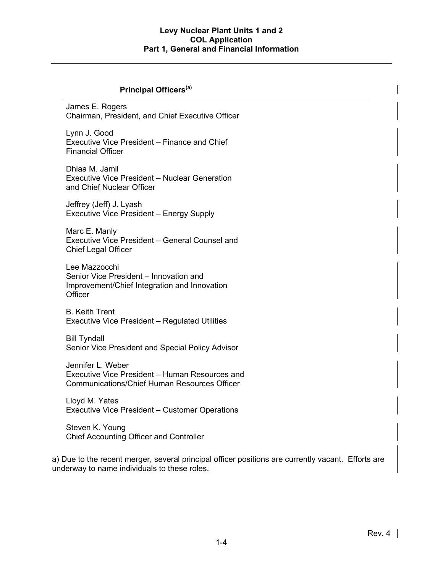## **Principal Officers(a)**

James E. Rogers Chairman, President, and Chief Executive Officer

Lynn J. Good Executive Vice President – Finance and Chief Financial Officer

Dhiaa M. Jamil Executive Vice President – Nuclear Generation and Chief Nuclear Officer

Jeffrey (Jeff) J. Lyash Executive Vice President – Energy Supply

Marc E. Manly Executive Vice President – General Counsel and Chief Legal Officer

Lee Mazzocchi Senior Vice President – Innovation and Improvement/Chief Integration and Innovation **Officer** 

B. Keith Trent Executive Vice President – Regulated Utilities

Bill Tyndall Senior Vice President and Special Policy Advisor

Jennifer L. Weber Executive Vice President – Human Resources and Communications/Chief Human Resources Officer

Lloyd M. Yates Executive Vice President – Customer Operations

Steven K. Young Chief Accounting Officer and Controller

a) Due to the recent merger, several principal officer positions are currently vacant. Efforts are underway to name individuals to these roles.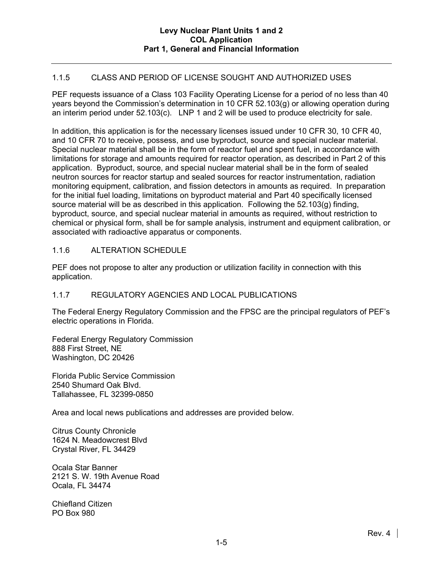### 1.1.5 CLASS AND PERIOD OF LICENSE SOUGHT AND AUTHORIZED USES

PEF requests issuance of a Class 103 Facility Operating License for a period of no less than 40 years beyond the Commission's determination in 10 CFR 52.103(g) or allowing operation during an interim period under 52.103(c). LNP 1 and 2 will be used to produce electricity for sale.

In addition, this application is for the necessary licenses issued under 10 CFR 30, 10 CFR 40, and 10 CFR 70 to receive, possess, and use byproduct, source and special nuclear material. Special nuclear material shall be in the form of reactor fuel and spent fuel, in accordance with limitations for storage and amounts required for reactor operation, as described in Part 2 of this application. Byproduct, source, and special nuclear material shall be in the form of sealed neutron sources for reactor startup and sealed sources for reactor instrumentation, radiation monitoring equipment, calibration, and fission detectors in amounts as required. In preparation for the initial fuel loading, limitations on byproduct material and Part 40 specifically licensed source material will be as described in this application. Following the 52.103(g) finding, byproduct, source, and special nuclear material in amounts as required, without restriction to chemical or physical form, shall be for sample analysis, instrument and equipment calibration, or associated with radioactive apparatus or components.

#### 1.1.6 ALTERATION SCHEDULE

PEF does not propose to alter any production or utilization facility in connection with this application.

## 1.1.7 REGULATORY AGENCIES AND LOCAL PUBLICATIONS

The Federal Energy Regulatory Commission and the FPSC are the principal regulators of PEF's electric operations in Florida.

Federal Energy Regulatory Commission 888 First Street, NE Washington, DC 20426

Florida Public Service Commission 2540 Shumard Oak Blvd. Tallahassee, FL 32399-0850

Area and local news publications and addresses are provided below.

Citrus County Chronicle 1624 N. Meadowcrest Blvd Crystal River, FL 34429

Ocala Star Banner 2121 S. W. 19th Avenue Road Ocala, FL 34474

Chiefland Citizen PO Box 980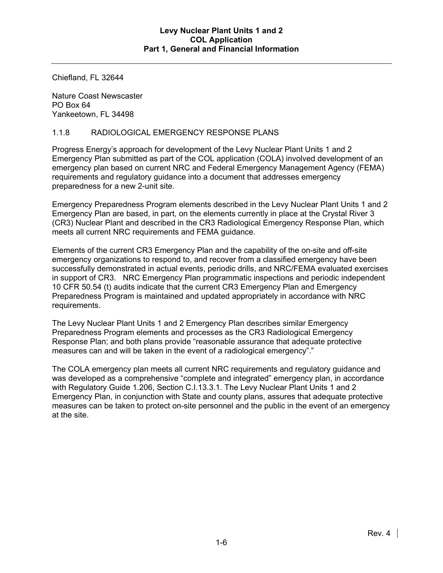Chiefland, FL 32644

Nature Coast Newscaster PO Box 64 Yankeetown, FL 34498

#### 1.1.8 RADIOLOGICAL EMERGENCY RESPONSE PLANS

Progress Energy's approach for development of the Levy Nuclear Plant Units 1 and 2 Emergency Plan submitted as part of the COL application (COLA) involved development of an emergency plan based on current NRC and Federal Emergency Management Agency (FEMA) requirements and regulatory guidance into a document that addresses emergency preparedness for a new 2-unit site.

Emergency Preparedness Program elements described in the Levy Nuclear Plant Units 1 and 2 Emergency Plan are based, in part, on the elements currently in place at the Crystal River 3 (CR3) Nuclear Plant and described in the CR3 Radiological Emergency Response Plan, which meets all current NRC requirements and FEMA guidance.

Elements of the current CR3 Emergency Plan and the capability of the on-site and off-site emergency organizations to respond to, and recover from a classified emergency have been successfully demonstrated in actual events, periodic drills, and NRC/FEMA evaluated exercises in support of CR3. NRC Emergency Plan programmatic inspections and periodic independent 10 CFR 50.54 (t) audits indicate that the current CR3 Emergency Plan and Emergency Preparedness Program is maintained and updated appropriately in accordance with NRC requirements.

The Levy Nuclear Plant Units 1 and 2 Emergency Plan describes similar Emergency Preparedness Program elements and processes as the CR3 Radiological Emergency Response Plan; and both plans provide "reasonable assurance that adequate protective measures can and will be taken in the event of a radiological emergency"."

The COLA emergency plan meets all current NRC requirements and regulatory guidance and was developed as a comprehensive "complete and integrated" emergency plan, in accordance with Regulatory Guide 1.206, Section C.I.13.3.1. The Levy Nuclear Plant Units 1 and 2 Emergency Plan, in conjunction with State and county plans, assures that adequate protective measures can be taken to protect on-site personnel and the public in the event of an emergency at the site.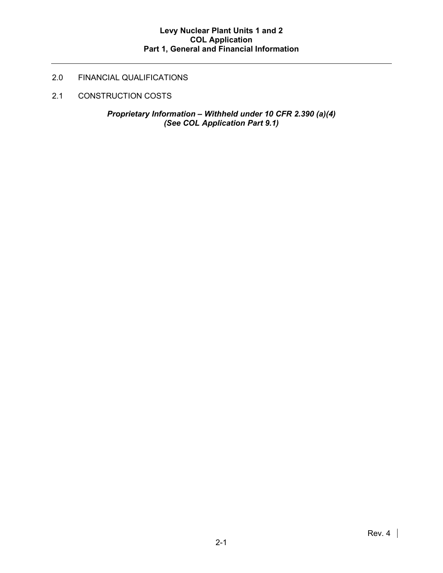# 2.0 FINANCIAL QUALIFICATIONS

2.1 CONSTRUCTION COSTS

*Proprietary Information – Withheld under 10 CFR 2.390 (a)(4) (See COL Application Part 9.1)*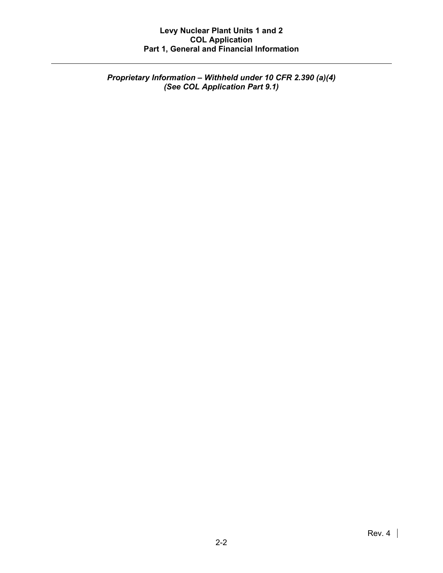*Proprietary Information – Withheld under 10 CFR 2.390 (a)(4) (See COL Application Part 9.1)*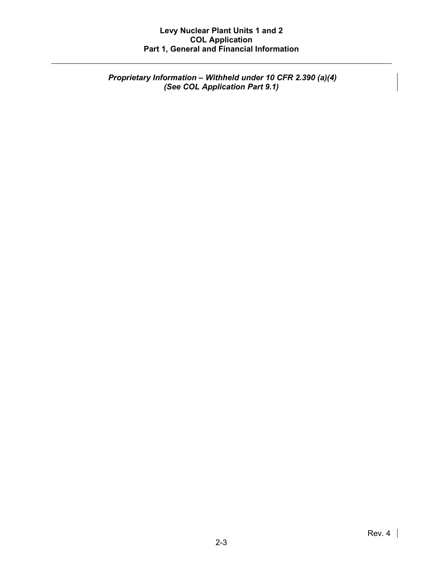*Proprietary Information – Withheld under 10 CFR 2.390 (a)(4) (See COL Application Part 9.1)*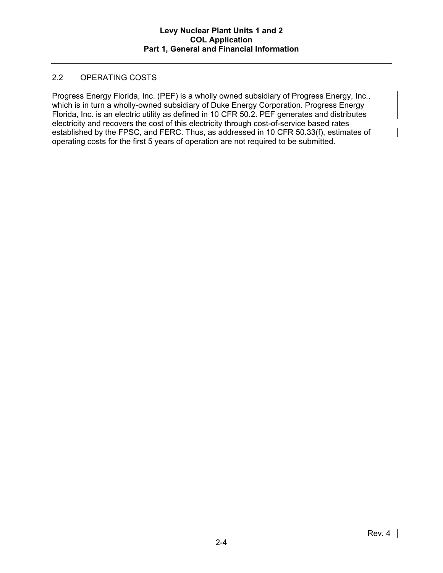## 2.2 OPERATING COSTS

Progress Energy Florida, Inc. (PEF) is a wholly owned subsidiary of Progress Energy, Inc., which is in turn a wholly-owned subsidiary of Duke Energy Corporation. Progress Energy Florida, Inc. is an electric utility as defined in 10 CFR 50.2. PEF generates and distributes electricity and recovers the cost of this electricity through cost-of-service based rates established by the FPSC, and FERC. Thus, as addressed in 10 CFR 50.33(f), estimates of operating costs for the first 5 years of operation are not required to be submitted.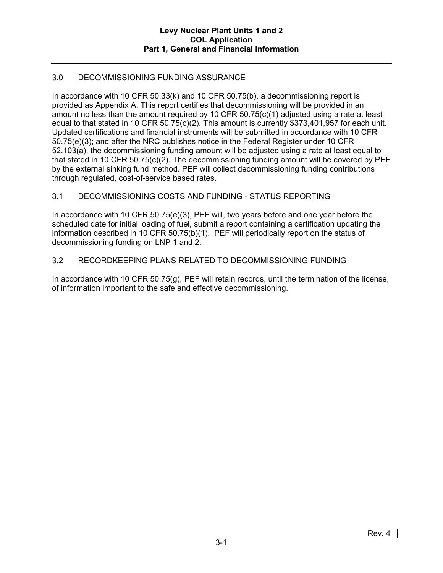## 3.0 DECOMMISSIONING FUNDING ASSURANCE

In accordance with 10 CFR 50.33(k) and 10 CFR 50.75(b), a decommissioning report is provided as Appendix A. This report certifies that decommissioning will be provided in an amount no less than the amount required by 10 CFR 50.75(c)(1) adjusted using a rate at least equal to that stated in 10 CFR 50.75(c)(2). This amount is currently \$373,401,957 for each unit. Updated certifications and financial instruments will be submitted in accordance with 10 CFR 50.75(e)(3); and after the NRC publishes notice in the Federal Register under 10 CFR 52.103(a), the decommissioning funding amount will be adjusted using a rate at least equal to that stated in 10 CFR 50.75(c)(2). The decommissioning funding amount will be covered by PEF by the external sinking fund method. PEF will collect decommissioning funding contributions through regulated, cost-of-service based rates.

## 3.1 DECOMMISSIONING COSTS AND FUNDING - STATUS REPORTING

In accordance with 10 CFR 50.75(e)(3), PEF will, two years before and one year before the scheduled date for initial loading of fuel, submit a report containing a certification updating the information described in 10 CFR 50.75(b)(1). PEF will periodically report on the status of decommissioning funding on LNP 1 and 2.

#### 3.2 RECORDKEEPING PLANS RELATED TO DECOMMISSIONING FUNDING

In accordance with 10 CFR 50.75(g), PEF will retain records, until the termination of the license, of information important to the safe and effective decommissioning.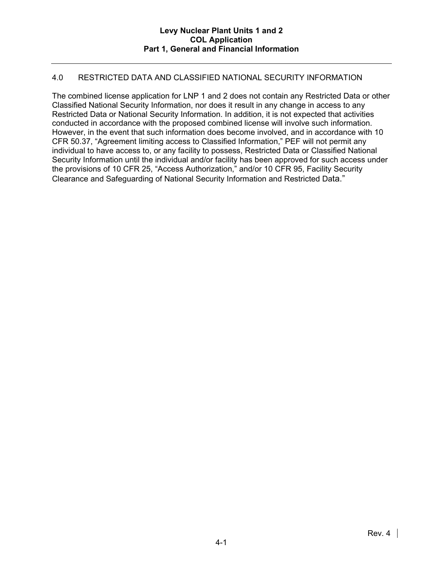### 4.0 RESTRICTED DATA AND CLASSIFIED NATIONAL SECURITY INFORMATION

The combined license application for LNP 1 and 2 does not contain any Restricted Data or other Classified National Security Information, nor does it result in any change in access to any Restricted Data or National Security Information. In addition, it is not expected that activities conducted in accordance with the proposed combined license will involve such information. However, in the event that such information does become involved, and in accordance with 10 CFR 50.37, "Agreement limiting access to Classified Information," PEF will not permit any individual to have access to, or any facility to possess, Restricted Data or Classified National Security Information until the individual and/or facility has been approved for such access under the provisions of 10 CFR 25, "Access Authorization," and/or 10 CFR 95, Facility Security Clearance and Safeguarding of National Security Information and Restricted Data."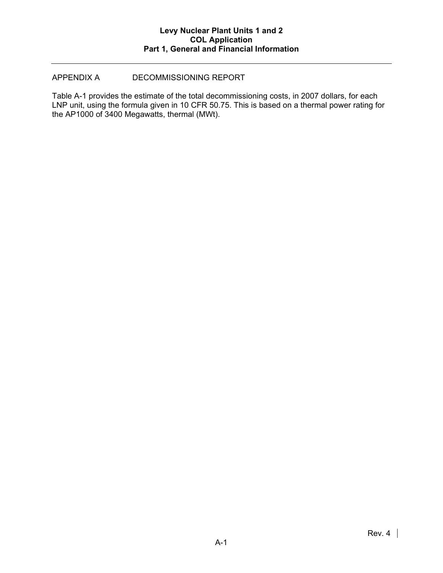#### APPENDIX A DECOMMISSIONING REPORT

Table A-1 provides the estimate of the total decommissioning costs, in 2007 dollars, for each LNP unit, using the formula given in 10 CFR 50.75. This is based on a thermal power rating for the AP1000 of 3400 Megawatts, thermal (MWt).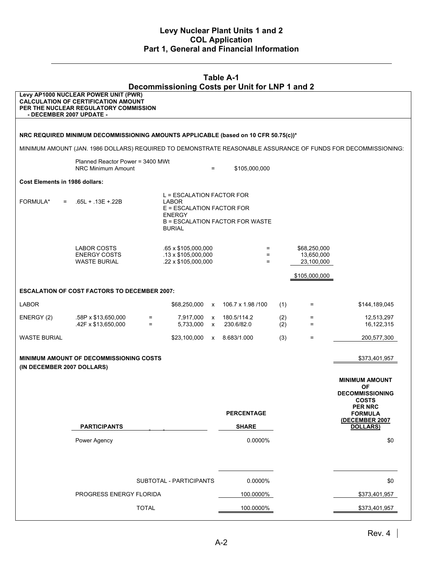| <b>Table A-1</b><br>Decommissioning Costs per Unit for LNP 1 and 2                                            |                                                                                                                             |                                                                                                                                      |                   |                                   |            |                                          |                                                                                                                                                       |  |  |  |  |
|---------------------------------------------------------------------------------------------------------------|-----------------------------------------------------------------------------------------------------------------------------|--------------------------------------------------------------------------------------------------------------------------------------|-------------------|-----------------------------------|------------|------------------------------------------|-------------------------------------------------------------------------------------------------------------------------------------------------------|--|--|--|--|
| - DECEMBER 2007 UPDATE -                                                                                      | Levy AP1000 NUCLEAR POWER UNIT (PWR)<br><b>CALCULATION OF CERTIFICATION AMOUNT</b><br>PER THE NUCLEAR REGULATORY COMMISSION |                                                                                                                                      |                   |                                   |            |                                          |                                                                                                                                                       |  |  |  |  |
|                                                                                                               |                                                                                                                             |                                                                                                                                      |                   |                                   |            |                                          |                                                                                                                                                       |  |  |  |  |
| NRC REQUIRED MINIMUM DECOMMISSIONING AMOUNTS APPLICABLE (based on 10 CFR 50.75(c))*                           |                                                                                                                             |                                                                                                                                      |                   |                                   |            |                                          |                                                                                                                                                       |  |  |  |  |
| MINIMUM AMOUNT (JAN. 1986 DOLLARS) REQUIRED TO DEMONSTRATE REASONABLE ASSURANCE OF FUNDS FOR DECOMMISSIONING: |                                                                                                                             |                                                                                                                                      |                   |                                   |            |                                          |                                                                                                                                                       |  |  |  |  |
|                                                                                                               | Planned Reactor Power = 3400 MWt<br>NRC Minimum Amount                                                                      |                                                                                                                                      | $\equiv$          | \$105,000,000                     |            |                                          |                                                                                                                                                       |  |  |  |  |
| Cost Elements in 1986 dollars:                                                                                |                                                                                                                             |                                                                                                                                      |                   |                                   |            |                                          |                                                                                                                                                       |  |  |  |  |
| FORMULA*<br>$=$                                                                                               | $.65L + .13E + .22B$                                                                                                        | L = ESCALATION FACTOR FOR<br>LABOR<br>E = ESCALATION FACTOR FOR<br><b>ENERGY</b><br>B = ESCALATION FACTOR FOR WASTE<br><b>BURIAL</b> |                   |                                   |            |                                          |                                                                                                                                                       |  |  |  |  |
|                                                                                                               | LABOR COSTS<br><b>ENERGY COSTS</b><br><b>WASTE BURIAL</b>                                                                   | .65 x \$105,000,000<br>$.13 \times $105,000,000$<br>.22 x \$105,000,000                                                              |                   | $=$<br>$=$<br>$=$                 |            | \$68,250,000<br>13,650,000<br>23,100,000 |                                                                                                                                                       |  |  |  |  |
|                                                                                                               |                                                                                                                             |                                                                                                                                      |                   |                                   |            | \$105,000,000                            |                                                                                                                                                       |  |  |  |  |
|                                                                                                               | <b>ESCALATION OF COST FACTORS TO DECEMBER 2007:</b>                                                                         |                                                                                                                                      |                   |                                   |            |                                          |                                                                                                                                                       |  |  |  |  |
| <b>LABOR</b>                                                                                                  |                                                                                                                             | \$68,250,000 x                                                                                                                       |                   | 106.7 x 1.98 /100                 | (1)        | Ξ.                                       | \$144,189,045                                                                                                                                         |  |  |  |  |
| ENERGY (2)                                                                                                    | .58P x \$13,650,000<br>$=$<br>.42F x \$13,650,000<br>$=$                                                                    | 7,917,000<br>5,733,000                                                                                                               | X<br>$\mathsf{x}$ | 180.5/114.2<br>230.6/82.0         | (2)<br>(2) | $=$<br>$=$                               | 12,513,297<br>16,122,315                                                                                                                              |  |  |  |  |
| WASTE BURIAL                                                                                                  |                                                                                                                             | \$23,100,000                                                                                                                         |                   | x 8.683/1.000                     | (3)        | Ξ.                                       | 200,577,300                                                                                                                                           |  |  |  |  |
| <b>MINIMUM AMOUNT OF DECOMMISSIONING COSTS</b><br>\$373,401,957<br>(IN DECEMBER 2007 DOLLARS)                 |                                                                                                                             |                                                                                                                                      |                   |                                   |            |                                          |                                                                                                                                                       |  |  |  |  |
|                                                                                                               | <b>PARTICIPANTS</b>                                                                                                         |                                                                                                                                      |                   | <b>PERCENTAGE</b><br><b>SHARE</b> |            |                                          | <b>MINIMUM AMOUNT</b><br><b>OF</b><br><b>DECOMMISSIONING</b><br><b>COSTS</b><br><b>PER NRC</b><br><b>FORMULA</b><br>(DECEMBER 2007<br><b>DOLLARS)</b> |  |  |  |  |
|                                                                                                               | Power Agency                                                                                                                |                                                                                                                                      |                   | 0.0000%                           |            |                                          | \$0                                                                                                                                                   |  |  |  |  |
|                                                                                                               |                                                                                                                             |                                                                                                                                      |                   |                                   |            |                                          |                                                                                                                                                       |  |  |  |  |
| SUBTOTAL - PARTICIPANTS                                                                                       |                                                                                                                             |                                                                                                                                      | 0.0000%           |                                   |            | \$0                                      |                                                                                                                                                       |  |  |  |  |
| PROGRESS ENERGY FLORIDA                                                                                       |                                                                                                                             |                                                                                                                                      | 100.0000%         |                                   |            | \$373,401,957                            |                                                                                                                                                       |  |  |  |  |
|                                                                                                               | <b>TOTAL</b>                                                                                                                |                                                                                                                                      |                   | 100.0000%                         |            |                                          | \$373,401,957                                                                                                                                         |  |  |  |  |